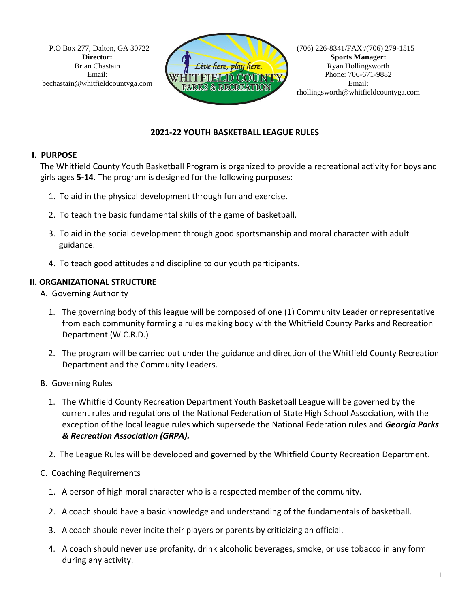P.O Box 277, Dalton, GA 30722 **Director:**  Brian Chastain Email: bechastain@whitfieldcountyga.com



(706) 226-8341/FAX:/(706) 279-1515 **Sports Manager:** Ryan Hollingsworth Phone: 706-671-9882 Email: rhollingsworth@whitfieldcountyga.com

## **2021-22 YOUTH BASKETBALL LEAGUE RULES**

## **I. PURPOSE**

 The Whitfield County Youth Basketball Program is organized to provide a recreational activity for boys and girls ages **5-14**. The program is designed for the following purposes:

- 1. To aid in the physical development through fun and exercise.
- 2. To teach the basic fundamental skills of the game of basketball.
- 3. To aid in the social development through good sportsmanship and moral character with adult guidance.
- 4. To teach good attitudes and discipline to our youth participants.

## **II. ORGANIZATIONAL STRUCTURE**

- A. Governing Authority
	- 1. The governing body of this league will be composed of one (1) Community Leader or representative from each community forming a rules making body with the Whitfield County Parks and Recreation Department (W.C.R.D.)
	- 2. The program will be carried out under the guidance and direction of the Whitfield County Recreation Department and the Community Leaders.
- B. Governing Rules
	- 1. The Whitfield County Recreation Department Youth Basketball League will be governed by the current rules and regulations of the National Federation of State High School Association, with the exception of the local league rules which supersede the National Federation rules and *Georgia Parks & Recreation Association (GRPA).*
	- 2. The League Rules will be developed and governed by the Whitfield County Recreation Department.
- C. Coaching Requirements
	- 1. A person of high moral character who is a respected member of the community.
	- 2. A coach should have a basic knowledge and understanding of the fundamentals of basketball.
	- 3. A coach should never incite their players or parents by criticizing an official.
	- 4. A coach should never use profanity, drink alcoholic beverages, smoke, or use tobacco in any form during any activity.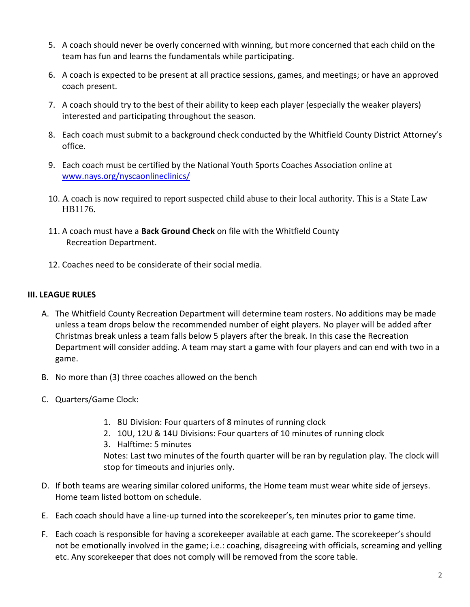- 5. A coach should never be overly concerned with winning, but more concerned that each child on the team has fun and learns the fundamentals while participating.
- 6. A coach is expected to be present at all practice sessions, games, and meetings; or have an approved coach present.
- 7. A coach should try to the best of their ability to keep each player (especially the weaker players) interested and participating throughout the season.
- 8. Each coach must submit to a background check conducted by the Whitfield County District Attorney's office.
- 9. Each coach must be certified by the National Youth Sports Coaches Association online at [www.nays.org/nyscaonlineclinics/](http://www.nays.org/nyscaonlineclinics/)
- 10. A coach is now required to report suspected child abuse to their local authority. This is a State Law HB1176.
- 11. A coach must have a **Back Ground Check** on file with the Whitfield County Recreation Department.
- 12. Coaches need to be considerate of their social media.

## **III. LEAGUE RULES**

- A. The Whitfield County Recreation Department will determine team rosters. No additions may be made unless a team drops below the recommended number of eight players. No player will be added after Christmas break unless a team falls below 5 players after the break. In this case the Recreation Department will consider adding. A team may start a game with four players and can end with two in a game.
- B. No more than (3) three coaches allowed on the bench
- C. Quarters/Game Clock:
	- 1. 8U Division: Four quarters of 8 minutes of running clock
	- 2. 10U, 12U & 14U Divisions: Four quarters of 10 minutes of running clock
	- 3. Halftime: 5 minutes

Notes: Last two minutes of the fourth quarter will be ran by regulation play. The clock will stop for timeouts and injuries only.

- D. If both teams are wearing similar colored uniforms, the Home team must wear white side of jerseys. Home team listed bottom on schedule.
- E. Each coach should have a line-up turned into the scorekeeper's, ten minutes prior to game time.
- F. Each coach is responsible for having a scorekeeper available at each game. The scorekeeper's should not be emotionally involved in the game; i.e.: coaching, disagreeing with officials, screaming and yelling etc. Any scorekeeper that does not comply will be removed from the score table.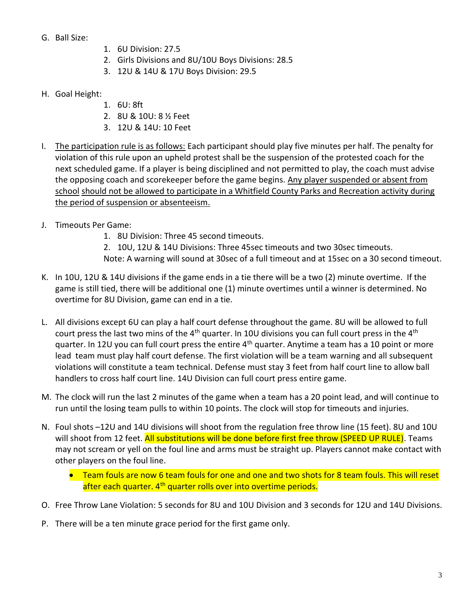- G. Ball Size:
- 1. 6U Division: 27.5
- 2. Girls Divisions and 8U/10U Boys Divisions: 28.5
- 3. 12U & 14U & 17U Boys Division: 29.5
- H. Goal Height:
	- 1. 6U: 8ft
	- 2. 8U & 10U: 8 ½ Feet
	- 3. 12U & 14U: 10 Feet
- I. The participation rule is as follows: Each participant should play five minutes per half. The penalty for violation of this rule upon an upheld protest shall be the suspension of the protested coach for the next scheduled game. If a player is being disciplined and not permitted to play, the coach must advise the opposing coach and scorekeeper before the game begins. Any player suspended or absent from school should not be allowed to participate in a Whitfield County Parks and Recreation activity during the period of suspension or absenteeism.
- J. Timeouts Per Game:
	- 1. 8U Division: Three 45 second timeouts.
	- 2. 10U, 12U & 14U Divisions: Three 45sec timeouts and two 30sec timeouts.
	- Note: A warning will sound at 30sec of a full timeout and at 15sec on a 30 second timeout.
- K. In 10U, 12U & 14U divisions if the game ends in a tie there will be a two (2) minute overtime. If the game is still tied, there will be additional one (1) minute overtimes until a winner is determined. No overtime for 8U Division, game can end in a tie.
- L. All divisions except 6U can play a half court defense throughout the game. 8U will be allowed to full court press the last two mins of the  $4<sup>th</sup>$  quarter. In 10U divisions you can full court press in the  $4<sup>th</sup>$ quarter. In 12U you can full court press the entire 4<sup>th</sup> quarter. Anytime a team has a 10 point or more lead team must play half court defense. The first violation will be a team warning and all subsequent violations will constitute a team technical. Defense must stay 3 feet from half court line to allow ball handlers to cross half court line. 14U Division can full court press entire game.
- M. The clock will run the last 2 minutes of the game when a team has a 20 point lead, and will continue to run until the losing team pulls to within 10 points. The clock will stop for timeouts and injuries.
- N. Foul shots –12U and 14U divisions will shoot from the regulation free throw line (15 feet). 8U and 10U will shoot from 12 feet. All substitutions will be done before first free throw (SPEED UP RULE). Teams may not scream or yell on the foul line and arms must be straight up. Players cannot make contact with other players on the foul line.
	- Team fouls are now 6 team fouls for one and one and two shots for 8 team fouls. This will reset after each quarter. 4<sup>th</sup> quarter rolls over into overtime periods.
- O. Free Throw Lane Violation: 5 seconds for 8U and 10U Division and 3 seconds for 12U and 14U Divisions.
- P. There will be a ten minute grace period for the first game only.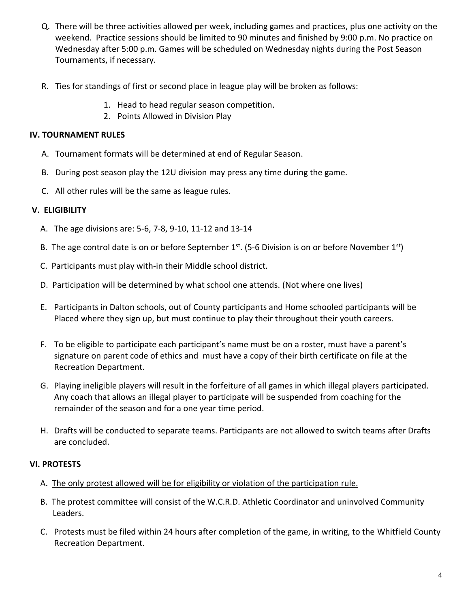- Q. There will be three activities allowed per week, including games and practices, plus one activity on the weekend. Practice sessions should be limited to 90 minutes and finished by 9:00 p.m. No practice on Wednesday after 5:00 p.m. Games will be scheduled on Wednesday nights during the Post Season Tournaments, if necessary.
- R. Ties for standings of first or second place in league play will be broken as follows:
	- 1. Head to head regular season competition.
	- 2. Points Allowed in Division Play

#### **IV. TOURNAMENT RULES**

- A. Tournament formats will be determined at end of Regular Season.
- B. During post season play the 12U division may press any time during the game.
- C. All other rules will be the same as league rules.

#### **V. ELIGIBILITY**

- A. The age divisions are: 5-6, 7-8, 9-10, 11-12 and 13-14
- B. The age control date is on or before September  $1^{st}$ . (5-6 Division is on or before November  $1^{st}$ )
	- C. Participants must play with-in their Middle school district.
	- D. Participation will be determined by what school one attends. (Not where one lives)
	- E. Participants in Dalton schools, out of County participants and Home schooled participants will be Placed where they sign up, but must continue to play their throughout their youth careers.
	- F. To be eligible to participate each participant's name must be on a roster, must have a parent's signature on parent code of ethics and must have a copy of their birth certificate on file at the Recreation Department.
	- G. Playing ineligible players will result in the forfeiture of all games in which illegal players participated. Any coach that allows an illegal player to participate will be suspended from coaching for the remainder of the season and for a one year time period.
	- H. Drafts will be conducted to separate teams. Participants are not allowed to switch teams after Drafts are concluded.

## **VI. PROTESTS**

- A. The only protest allowed will be for eligibility or violation of the participation rule.
- B. The protest committee will consist of the W.C.R.D. Athletic Coordinator and uninvolved Community Leaders.
- C. Protests must be filed within 24 hours after completion of the game, in writing, to the Whitfield County Recreation Department.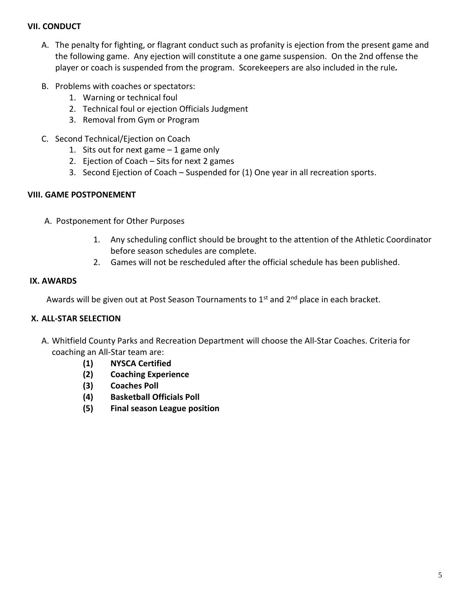#### **VII. CONDUCT**

- A. The penalty for fighting, or flagrant conduct such as profanity is ejection from the present game and the following game. Any ejection will constitute a one game suspension. On the 2nd offense the player or coach is suspended from the program. Scorekeepers are also included in the rule*.*
- B. Problems with coaches or spectators:
	- 1. Warning or technical foul
	- 2. Technical foul or ejection Officials Judgment
	- 3. Removal from Gym or Program
- C. Second Technical/Ejection on Coach
	- 1. Sits out for next game  $-1$  game only
	- 2. Ejection of Coach Sits for next 2 games
	- 3. Second Ejection of Coach Suspended for (1) One year in all recreation sports.

#### **VIII. GAME POSTPONEMENT**

- A. Postponement for Other Purposes
	- 1. Any scheduling conflict should be brought to the attention of the Athletic Coordinator before season schedules are complete.
	- 2. Games will not be rescheduled after the official schedule has been published.

#### **IX. AWARDS**

Awards will be given out at Post Season Tournaments to  $1<sup>st</sup>$  and  $2<sup>nd</sup>$  place in each bracket.

#### **X. ALL-STAR SELECTION**

- A. Whitfield County Parks and Recreation Department will choose the All-Star Coaches. Criteria for coaching an All-Star team are:
	- **(1) NYSCA Certified**
	- **(2) Coaching Experience**
	- **(3) Coaches Poll**
	- **(4) Basketball Officials Poll**
	- **(5) Final season League position**